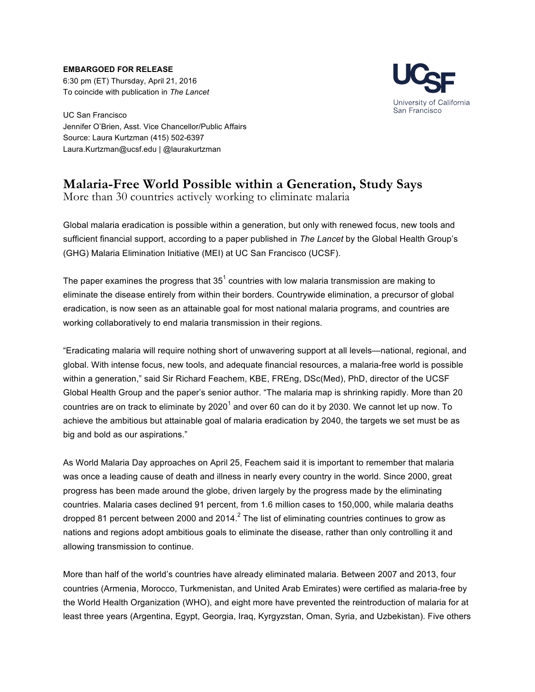**EMBARGOED FOR RELEASE**

6:30 pm (ET) Thursday, April 21, 2016 To coincide with publication in *The Lancet*



UC San Francisco Jennifer O'Brien, Asst. Vice Chancellor/Public Affairs Source: Laura Kurtzman (415) 502-6397 Laura.Kurtzman@ucsf.edu | @laurakurtzman

## **Malaria-Free World Possible within a Generation, Study Says**

More than 30 countries actively working to eliminate malaria

Global malaria eradication is possible within a generation, but only with renewed focus, new tools and sufficient financial support, according to a paper published in *The Lancet* by the Global Health Group's (GHG) Malaria Elimination Initiative (MEI) at UC San Francisco (UCSF).

The paper examines the progress that  $35<sup>1</sup>$  countries with low malaria transmission are making to eliminate the disease entirely from within their borders. Countrywide elimination, a precursor of global eradication, is now seen as an attainable goal for most national malaria programs, and countries are working collaboratively to end malaria transmission in their regions.

"Eradicating malaria will require nothing short of unwavering support at all levels—national, regional, and global. With intense focus, new tools, and adequate financial resources, a malaria-free world is possible within a generation," said Sir Richard Feachem, KBE, FREng, DSc(Med), PhD, director of the UCSF Global Health Group and the paper's senior author. "The malaria map is shrinking rapidly. More than 20 countries are on track to eliminate by  $2020<sup>1</sup>$  and over 60 can do it by 2030. We cannot let up now. To achieve the ambitious but attainable goal of malaria eradication by 2040, the targets we set must be as big and bold as our aspirations."

As World Malaria Day approaches on April 25, Feachem said it is important to remember that malaria was once a leading cause of death and illness in nearly every country in the world. Since 2000, great progress has been made around the globe, driven largely by the progress made by the eliminating countries. Malaria cases declined 91 percent, from 1.6 million cases to 150,000, while malaria deaths dropped 81 percent between 2000 and 2014. $^2$  The list of eliminating countries continues to grow as nations and regions adopt ambitious goals to eliminate the disease, rather than only controlling it and allowing transmission to continue.

More than half of the world's countries have already eliminated malaria. Between 2007 and 2013, four countries (Armenia, Morocco, Turkmenistan, and United Arab Emirates) were certified as malaria-free by the World Health Organization (WHO), and eight more have prevented the reintroduction of malaria for at least three years (Argentina, Egypt, Georgia, Iraq, Kyrgyzstan, Oman, Syria, and Uzbekistan). Five others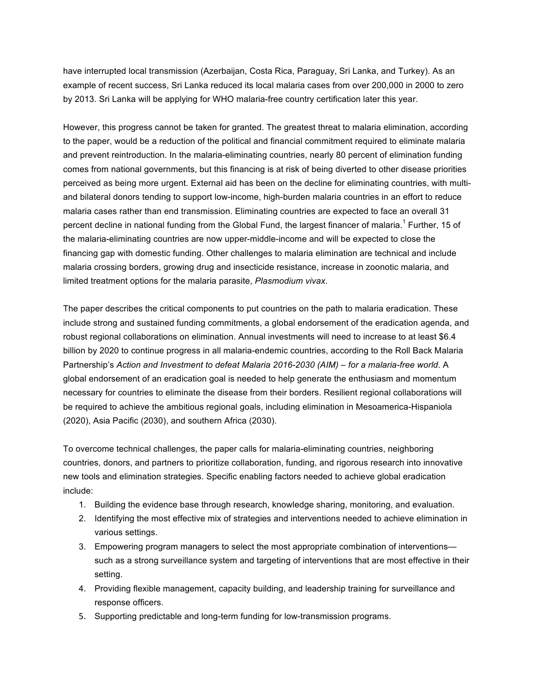have interrupted local transmission (Azerbaijan, Costa Rica, Paraguay, Sri Lanka, and Turkey). As an example of recent success, Sri Lanka reduced its local malaria cases from over 200,000 in 2000 to zero by 2013. Sri Lanka will be applying for WHO malaria-free country certification later this year.

However, this progress cannot be taken for granted. The greatest threat to malaria elimination, according to the paper, would be a reduction of the political and financial commitment required to eliminate malaria and prevent reintroduction. In the malaria-eliminating countries, nearly 80 percent of elimination funding comes from national governments, but this financing is at risk of being diverted to other disease priorities perceived as being more urgent. External aid has been on the decline for eliminating countries, with multiand bilateral donors tending to support low-income, high-burden malaria countries in an effort to reduce malaria cases rather than end transmission. Eliminating countries are expected to face an overall 31 percent decline in national funding from the Global Fund, the largest financer of malaria.<sup>1</sup> Further, 15 of the malaria-eliminating countries are now upper-middle-income and will be expected to close the financing gap with domestic funding. Other challenges to malaria elimination are technical and include malaria crossing borders, growing drug and insecticide resistance, increase in zoonotic malaria, and limited treatment options for the malaria parasite, *Plasmodium vivax*.

The paper describes the critical components to put countries on the path to malaria eradication. These include strong and sustained funding commitments, a global endorsement of the eradication agenda, and robust regional collaborations on elimination. Annual investments will need to increase to at least \$6.4 billion by 2020 to continue progress in all malaria-endemic countries, according to the Roll Back Malaria Partnership's *Action and Investment to defeat Malaria 2016-2030 (AIM) – for a malaria-free world*. A global endorsement of an eradication goal is needed to help generate the enthusiasm and momentum necessary for countries to eliminate the disease from their borders. Resilient regional collaborations will be required to achieve the ambitious regional goals, including elimination in Mesoamerica-Hispaniola (2020), Asia Pacific (2030), and southern Africa (2030).

To overcome technical challenges, the paper calls for malaria-eliminating countries, neighboring countries, donors, and partners to prioritize collaboration, funding, and rigorous research into innovative new tools and elimination strategies. Specific enabling factors needed to achieve global eradication include:

- 1. Building the evidence base through research, knowledge sharing, monitoring, and evaluation.
- 2. Identifying the most effective mix of strategies and interventions needed to achieve elimination in various settings.
- 3. Empowering program managers to select the most appropriate combination of interventions such as a strong surveillance system and targeting of interventions that are most effective in their setting.
- 4. Providing flexible management, capacity building, and leadership training for surveillance and response officers.
- 5. Supporting predictable and long-term funding for low-transmission programs.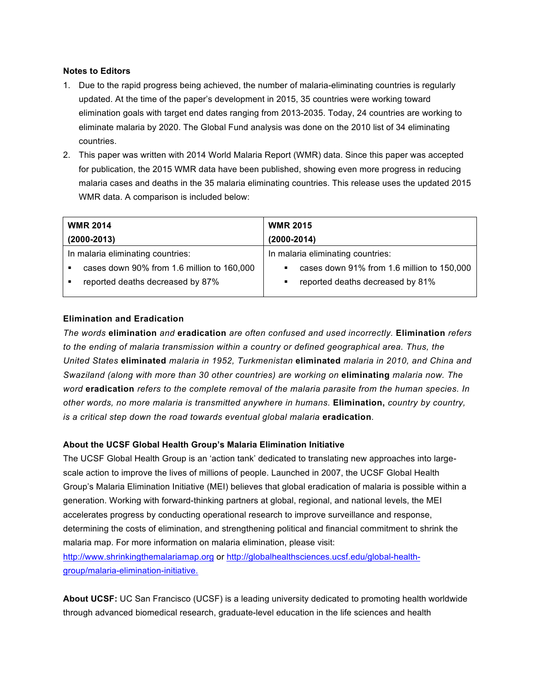## **Notes to Editors**

- 1. Due to the rapid progress being achieved, the number of malaria-eliminating countries is regularly updated. At the time of the paper's development in 2015, 35 countries were working toward elimination goals with target end dates ranging from 2013-2035. Today, 24 countries are working to eliminate malaria by 2020. The Global Fund analysis was done on the 2010 list of 34 eliminating countries.
- 2. This paper was written with 2014 World Malaria Report (WMR) data. Since this paper was accepted for publication, the 2015 WMR data have been published, showing even more progress in reducing malaria cases and deaths in the 35 malaria eliminating countries. This release uses the updated 2015 WMR data. A comparison is included below:

| <b>WMR 2014</b>                   |                                            | <b>WMR 2015</b>                                 |
|-----------------------------------|--------------------------------------------|-------------------------------------------------|
| $(2000 - 2013)$                   |                                            | $(2000 - 2014)$                                 |
| In malaria eliminating countries: |                                            | In malaria eliminating countries:               |
|                                   | cases down 90% from 1.6 million to 160,000 | cases down 91% from 1.6 million to 150,000<br>٠ |
|                                   | reported deaths decreased by 87%           | reported deaths decreased by 81%<br>٠           |
|                                   |                                            |                                                 |

## **Elimination and Eradication**

*The words* **elimination** *and* **eradication** *are often confused and used incorrectly.* **Elimination** *refers to the ending of malaria transmission within a country or defined geographical area. Thus, the United States* **eliminated** *malaria in 1952, Turkmenistan* **eliminated** *malaria in 2010, and China and Swaziland (along with more than 30 other countries) are working on* **eliminating** *malaria now. The word* **eradication** *refers to the complete removal of the malaria parasite from the human species. In other words, no more malaria is transmitted anywhere in humans.* **Elimination,** *country by country, is a critical step down the road towards eventual global malaria* **eradication***.*

## **About the UCSF Global Health Group's Malaria Elimination Initiative**

The UCSF Global Health Group is an 'action tank' dedicated to translating new approaches into largescale action to improve the lives of millions of people. Launched in 2007, the UCSF Global Health Group's Malaria Elimination Initiative (MEI) believes that global eradication of malaria is possible within a generation. Working with forward-thinking partners at global, regional, and national levels, the MEI accelerates progress by conducting operational research to improve surveillance and response, determining the costs of elimination, and strengthening political and financial commitment to shrink the malaria map. For more information on malaria elimination, please visit:

http://www.shrinkingthemalariamap.org or http://globalhealthsciences.ucsf.edu/global-healthgroup/malaria-elimination-initiative.

**About UCSF:** UC San Francisco (UCSF) is a leading university dedicated to promoting health worldwide through advanced biomedical research, graduate-level education in the life sciences and health